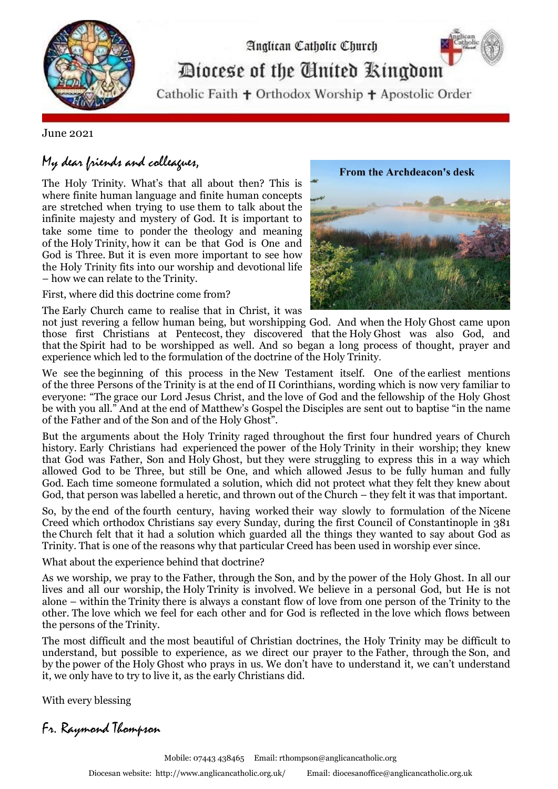

## Diocese of the Cinited Ringdom

Analican Catholic Church

Catholic Faith + Orthodox Worship + Apostolic Order

June 2021

## My dear friends and colleagues,

The Holy Trinity. What's that all about then? This is where finite human language and finite human concepts are stretched when trying to use them to talk about the infinite majesty and mystery of God. It is important to take some time to ponder the theology and meaning of the Holy Trinity, how it can be that God is One and God is Three. But it is even more important to see how the Holy Trinity fits into our worship and devotional life – how we can relate to the Trinity.

First, where did this doctrine come from?

The Early Church came to realise that in Christ, it was



not just revering a fellow human being, but worshipping God. And when the Holy Ghost came upon those first Christians at Pentecost, they discovered that the Holy Ghost was also God, and that the Spirit had to be worshipped as well. And so began a long process of thought, prayer and experience which led to the formulation of the doctrine of the Holy Trinity.

We see the beginning of this process in the New Testament itself. One of the earliest mentions of the three Persons of the Trinity is at the end of II Corinthians, wording which is now very familiar to everyone: "The grace our Lord Jesus Christ, and the love of God and the fellowship of the Holy Ghost be with you all." And at the end of Matthew's Gospel the Disciples are sent out to baptise "in the name of the Father and of the Son and of the Holy Ghost".

But the arguments about the Holy Trinity raged throughout the first four hundred years of Church history. Early Christians had experienced the power of the Holy Trinity in their worship; they knew that God was Father, Son and Holy Ghost, but they were struggling to express this in a way which allowed God to be Three, but still be One, and which allowed Jesus to be fully human and fully God. Each time someone formulated a solution, which did not protect what they felt they knew about God, that person was labelled a heretic, and thrown out of the Church – they felt it was that important.

So, by the end of the fourth century, having worked their way slowly to formulation of the Nicene Creed which orthodox Christians say every Sunday, during the first Council of Constantinople in 381 the Church felt that it had a solution which guarded all the things they wanted to say about God as Trinity. That is one of the reasons why that particular Creed has been used in worship ever since.

What about the experience behind that doctrine?

As we worship, we pray to the Father, through the Son, and by the power of the Holy Ghost. In all our lives and all our worship, the Holy Trinity is involved. We believe in a personal God, but He is not alone – within the Trinity there is always a constant flow of love from one person of the Trinity to the other. The love which we feel for each other and for God is reflected in the love which flows between the persons of the Trinity.

The most difficult and the most beautiful of Christian doctrines, the Holy Trinity may be difficult to understand, but possible to experience, as we direct our prayer to the Father, through the Son, and by the power of the Holy Ghost who prays in us. We don't have to understand it, we can't understand it, we only have to try to live it, as the early Christians did.

With every blessing

Fr. Raymond Thompson